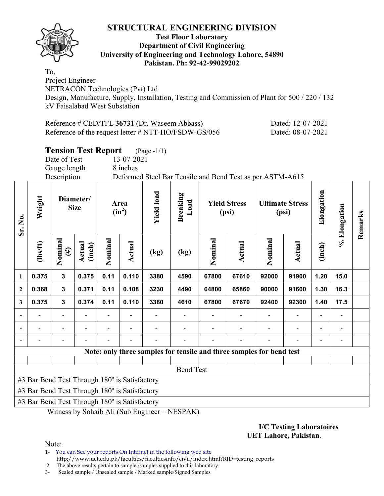

#### **Test Floor Laboratory Department of Civil Engineering University of Engineering and Technology Lahore, 54890 Pakistan. Ph: 92-42-99029202**

To, Project Engineer NETRACON Technologies (Pvt) Ltd Design, Manufacture, Supply, Installation, Testing and Commission of Plant for 500 / 220 / 132 kV Faisalabad West Substation

Reference # CED/TFL **36731** (Dr. Waseem Abbass) Dated: 12-07-2021 Reference of the request letter # NTT-HO/FSDW-GS/056 Dated: 08-07-2021

# **Tension Test Report** (Page -1/1)

Date of Test 13-07-2021 Gauge length 8 inches

Description Deformed Steel Bar Tensile and Bend Test as per ASTM-A615

| Sr. No.                  | Weight                                        |                   | Diameter/<br><b>Size</b> |         | Area<br>$(in^2)$ | <b>Yield load</b> | <b>Breaking</b><br>Load |         | <b>Yield Stress</b><br>(psi)                                         |         | <b>Ultimate Stress</b><br>(psi) | Elongation | % Elongation | Remarks |
|--------------------------|-----------------------------------------------|-------------------|--------------------------|---------|------------------|-------------------|-------------------------|---------|----------------------------------------------------------------------|---------|---------------------------------|------------|--------------|---------|
|                          | $\frac{2}{10}$                                | Nominal<br>$(\#)$ | Actual<br>(inch)         | Nominal | Actual           | (kg)              | (kg)                    | Nominal | Actual                                                               | Nominal | Actual                          | (inch)     |              |         |
| $\mathbf{1}$             | 0.375                                         | $\mathbf{3}$      | 0.375                    | 0.11    | 0.110            | 3380              | 4590                    | 67800   | 67610                                                                | 92000   | 91900                           | 1.20       | 15.0         |         |
| $\overline{2}$           | 0.368                                         | 3                 | 0.371                    | 0.11    | 0.108            | 3230              | 4490                    | 64800   | 65860                                                                | 90000   | 91600                           | 1.30       | 16.3         |         |
| 3                        | 0.375                                         | 3                 | 0.374                    | 0.11    | 0.110            | 3380              | 4610                    | 67800   | 67670                                                                | 92400   | 92300                           | 1.40       | 17.5         |         |
|                          |                                               | $\blacksquare$    |                          |         |                  |                   |                         |         |                                                                      |         |                                 |            |              |         |
|                          |                                               |                   |                          |         |                  |                   |                         |         |                                                                      |         |                                 |            |              |         |
| $\overline{\phantom{a}}$ |                                               |                   |                          |         |                  |                   |                         |         |                                                                      |         |                                 |            |              |         |
|                          |                                               |                   |                          |         |                  |                   |                         |         | Note: only three samples for tensile and three samples for bend test |         |                                 |            |              |         |
|                          |                                               |                   |                          |         |                  |                   |                         |         |                                                                      |         |                                 |            |              |         |
|                          |                                               |                   |                          |         |                  |                   | <b>Bend Test</b>        |         |                                                                      |         |                                 |            |              |         |
|                          | #3 Bar Bend Test Through 180° is Satisfactory |                   |                          |         |                  |                   |                         |         |                                                                      |         |                                 |            |              |         |
|                          | #3 Bar Bend Test Through 180° is Satisfactory |                   |                          |         |                  |                   |                         |         |                                                                      |         |                                 |            |              |         |
|                          | #3 Bar Bend Test Through 180° is Satisfactory |                   |                          |         |                  |                   |                         |         |                                                                      |         |                                 |            |              |         |

Witness by Sohaib Ali (Sub Engineer – NESPAK)

#### **I/C Testing Laboratoires UET Lahore, Pakistan**.

Note:

1- You can See your reports On Internet in the following web site http://www.uet.edu.pk/faculties/facultiesinfo/civil/index.html?RID=testing\_reports

2. The above results pertain to sample /samples supplied to this laboratory.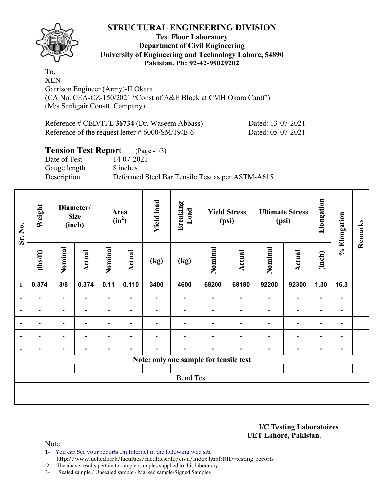

## **Test Floor Laboratory Department of Civil Engineering University of Engineering and Technology Lahore, 54890 Pakistan. Ph: 92-42-99029202**

To, XEN

Garrison Engineer (Army)-II Okara (CA No. CEA-CZ-150/2021 "Const of A&E Block at CMH Okara Cantt") (M/s Sanhgair Constt. Company)

| Reference # CED/TFL 36734 (Dr. Waseem Abbass)       | Dated: 13-07-2021 |
|-----------------------------------------------------|-------------------|
| Reference of the request letter $\#$ 6000/SM/19/E-6 | Dated: 05-07-2021 |

## **Tension Test Report** (Page -1/3)

Date of Test 14-07-2021 Gauge length 8 inches Description Deformed Steel Bar Tensile Test as per ASTM-A615

| Sr. No.      | Weight         |         | Diameter/<br><b>Size</b><br>(inch) |                | Area<br>$(in^2)$ | <b>Yield load</b> | <b>Breaking</b><br>Load                | (psi)          | <b>Yield Stress</b> | <b>Ultimate Stress</b><br>(psi) |                | Elongation | % Elongation   | Remarks |
|--------------|----------------|---------|------------------------------------|----------------|------------------|-------------------|----------------------------------------|----------------|---------------------|---------------------------------|----------------|------------|----------------|---------|
|              | $lbsft$        | Nominal | <b>Actual</b>                      | Nominal        | Actual           | (kg)              | (kg)                                   | Nominal        | <b>Actual</b>       | Nominal                         | <b>Actual</b>  | (inch)     |                |         |
| $\mathbf{1}$ | 0.374          | 3/8     | 0.374                              | 0.11           | 0.110            | 3400              | 4600                                   | 68200          | 68180               | 92200                           | 92300          | 1.30       | 16.3           |         |
|              |                |         |                                    | -              |                  | -                 | ۰                                      | Ξ.             | ۰                   | $\blacksquare$                  | -              | ۰          |                |         |
|              | $\blacksquare$ | ۰.      | $\blacksquare$                     | $\blacksquare$ | $\blacksquare$   | $\blacksquare$    | ۰                                      | ٠.             | $\blacksquare$      | $\blacksquare$                  | $\blacksquare$ | ۰          | $\blacksquare$ |         |
|              |                | ۰       |                                    | ۰              |                  | -                 | ۰                                      | $\blacksquare$ | ٠                   | $\blacksquare$                  | ۰              | ۰          | $\blacksquare$ |         |
|              |                | ۰       |                                    | $\blacksquare$ |                  | $\blacksquare$    | ۰                                      | $\blacksquare$ | $\blacksquare$      | $\blacksquare$                  | ٠              | ۰          |                |         |
|              |                | ۰       | $\blacksquare$                     | $\blacksquare$ | ۰                | $\blacksquare$    | $\blacksquare$                         | $\blacksquare$ | $\blacksquare$      | $\blacksquare$                  | ۰              | ۰          | $\blacksquare$ |         |
|              |                |         |                                    |                |                  |                   | Note: only one sample for tensile test |                |                     |                                 |                |            |                |         |
|              |                |         |                                    |                |                  |                   | <b>Bend Test</b>                       |                |                     |                                 |                |            |                |         |
|              |                |         |                                    |                |                  |                   |                                        |                |                     |                                 |                |            |                |         |

**I/C Testing Laboratoires UET Lahore, Pakistan**.

Note:

1- You can See your reports On Internet in the following web site http://www.uet.edu.pk/faculties/facultiesinfo/civil/index.html?RID=testing\_reports

2. The above results pertain to sample /samples supplied to this laboratory.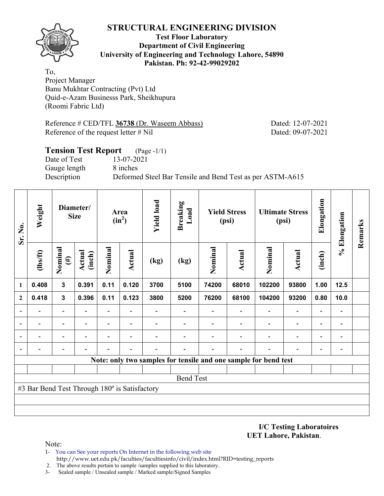

#### **Test Floor Laboratory Department of Civil Engineering University of Engineering and Technology Lahore, 54890 Pakistan. Ph: 92-42-99029202**

To, Project Manager Banu Mukhtar Contracting (Pvt) Ltd Quid-e-Azam Businesss Park, Sheikhupura (Roomi Fabric Ltd)

Reference # CED/TFL **36738** (Dr. Waseem Abbass) Dated: 12-07-2021 Reference of the request letter # Nil Dated: 09-07-2021

## **Tension Test Report** (Page -1/1) Date of Test 13-07-2021 Gauge length 8 inches Description Deformed Steel Bar Tensile and Bend Test as per ASTM-A615

| Sr. No.      | Weight                                        |                   | Diameter/<br><b>Size</b> |                          | Area<br>$(in^2)$         | <b>Yield load</b> | <b>Breaking</b><br>Load |         | <b>Yield Stress</b><br>(psi) |                                                                 | <b>Ultimate Stress</b><br>(psi) | Elongation               | % Elongation                 | Remarks |
|--------------|-----------------------------------------------|-------------------|--------------------------|--------------------------|--------------------------|-------------------|-------------------------|---------|------------------------------|-----------------------------------------------------------------|---------------------------------|--------------------------|------------------------------|---------|
|              | (1bs/ft)                                      | Nominal<br>$(\#)$ | Actual<br>(inch)         | Nominal                  | <b>Actual</b>            | (kg)              | (kg)                    | Nominal | Actual                       | Nominal                                                         | <b>Actual</b>                   | (inch)                   |                              |         |
| 1            | 0.408                                         | $\mathbf{3}$      | 0.391                    | 0.11                     | 0.120                    | 3700              | 5100                    | 74200   | 68010                        | 102200                                                          | 93800                           | 1.00                     | 12.5                         |         |
| $\mathbf{2}$ | 0.418                                         | $\mathbf{3}$      | 0.396                    | 0.11                     | 0.123                    | 3800              | 5200                    | 76200   | 68100                        | 104200                                                          | 93200                           | 0.80                     | 10.0                         |         |
|              |                                               | ۰                 |                          | $\overline{\phantom{0}}$ |                          |                   |                         |         |                              |                                                                 | $\qquad \qquad \blacksquare$    | -                        |                              |         |
|              |                                               |                   |                          | $\overline{\phantom{0}}$ |                          |                   |                         |         |                              |                                                                 | $\overline{\phantom{0}}$        | $\overline{\phantom{0}}$ |                              |         |
|              |                                               |                   |                          | $\blacksquare$           | $\overline{\phantom{0}}$ |                   |                         |         |                              |                                                                 | $\overline{\phantom{0}}$        | $\overline{\phantom{0}}$ | $\qquad \qquad \blacksquare$ |         |
|              |                                               |                   |                          |                          |                          |                   |                         |         |                              |                                                                 |                                 | $\overline{\phantom{0}}$ |                              |         |
|              |                                               |                   |                          |                          |                          |                   |                         |         |                              | Note: only two samples for tensile and one sample for bend test |                                 |                          |                              |         |
|              |                                               |                   |                          |                          |                          |                   |                         |         |                              |                                                                 |                                 |                          |                              |         |
|              |                                               |                   |                          |                          |                          |                   | <b>Bend Test</b>        |         |                              |                                                                 |                                 |                          |                              |         |
|              | #3 Bar Bend Test Through 180° is Satisfactory |                   |                          |                          |                          |                   |                         |         |                              |                                                                 |                                 |                          |                              |         |
|              |                                               |                   |                          |                          |                          |                   |                         |         |                              |                                                                 |                                 |                          |                              |         |
|              |                                               |                   |                          |                          |                          |                   |                         |         |                              |                                                                 |                                 |                          |                              |         |

**I/C Testing Laboratoires UET Lahore, Pakistan**.

Note:

- 1- You can See your reports On Internet in the following web site http://www.uet.edu.pk/faculties/facultiesinfo/civil/index.html?RID=testing\_reports
- 2. The above results pertain to sample /samples supplied to this laboratory.
- 3- Sealed sample / Unsealed sample / Marked sample/Signed Samples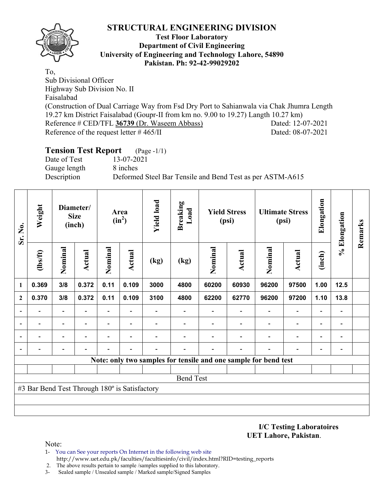

#### **Test Floor Laboratory Department of Civil Engineering University of Engineering and Technology Lahore, 54890 Pakistan. Ph: 92-42-99029202**

To, Sub Divisional Officer Highway Sub Division No. II Faisalabad (Construction of Dual Carriage Way from Fsd Dry Port to Sahianwala via Chak Jhumra Length 19.27 km District Faisalabad (Goupr-II from km no. 9.00 to 19.27) Langth 10.27 km) Reference # CED/TFL **36739** (Dr. Waseem Abbass) Dated: 12-07-2021 Reference of the request letter # 465/II Dated: 08-07-2021

#### **Tension Test Report** (Page -1/1) Date of Test 13-07-2021

Gauge length 8 inches

Description Deformed Steel Bar Tensile and Bend Test as per ASTM-A615

| Sr. No.        | Weight                                        |                          | Diameter/<br><b>Size</b><br>(inch) |                          | Area<br>$(in^2)$ | <b>Yield load</b> | <b>Breaking</b><br>Load |                                                                 | <b>Yield Stress</b><br>(psi) |         | <b>Ultimate Stress</b><br>(psi) | Elongation               | % Elongation   | Remarks |
|----------------|-----------------------------------------------|--------------------------|------------------------------------|--------------------------|------------------|-------------------|-------------------------|-----------------------------------------------------------------|------------------------------|---------|---------------------------------|--------------------------|----------------|---------|
|                | $lbsft$                                       | Nominal                  | <b>Actual</b>                      | Nominal                  | <b>Actual</b>    | (kg)              | (kg)                    | Nominal                                                         | <b>Actual</b>                | Nominal | <b>Actual</b>                   | (inch)                   |                |         |
| 1              | 0.369                                         | 3/8                      | 0.372                              | 0.11                     | 0.109            | 3000              | 4800                    | 60200                                                           | 60930                        | 96200   | 97500                           | 1.00                     | 12.5           |         |
| $\mathbf{2}$   | 0.370                                         | 3/8                      | 0.372                              | 0.11                     | 0.109            | 3100              | 4800                    | 62200                                                           | 62770                        | 96200   | 97200                           | 1.10                     | 13.8           |         |
|                |                                               | Ξ.                       |                                    | Ξ.                       |                  |                   |                         |                                                                 |                              |         | $\blacksquare$                  | $\overline{\phantom{0}}$ |                |         |
| $\blacksquare$ |                                               | $\overline{\phantom{a}}$ | $\blacksquare$                     | $\overline{\phantom{0}}$ |                  |                   |                         |                                                                 |                              |         | $\blacksquare$                  | $\overline{\phantom{0}}$ | $\blacksquare$ |         |
|                |                                               | $\overline{\phantom{0}}$ |                                    |                          |                  |                   |                         |                                                                 |                              |         | $\overline{a}$                  | $\overline{\phantom{0}}$ |                |         |
|                |                                               |                          |                                    |                          |                  |                   |                         |                                                                 |                              |         |                                 | -                        |                |         |
|                |                                               |                          |                                    |                          |                  |                   |                         | Note: only two samples for tensile and one sample for bend test |                              |         |                                 |                          |                |         |
|                |                                               |                          |                                    |                          |                  |                   |                         |                                                                 |                              |         |                                 |                          |                |         |
|                |                                               |                          |                                    |                          |                  |                   | <b>Bend Test</b>        |                                                                 |                              |         |                                 |                          |                |         |
|                | #3 Bar Bend Test Through 180° is Satisfactory |                          |                                    |                          |                  |                   |                         |                                                                 |                              |         |                                 |                          |                |         |
|                |                                               |                          |                                    |                          |                  |                   |                         |                                                                 |                              |         |                                 |                          |                |         |
|                |                                               |                          |                                    |                          |                  |                   |                         |                                                                 |                              |         |                                 |                          |                |         |

**I/C Testing Laboratoires UET Lahore, Pakistan**.

Note:

- 1- You can See your reports On Internet in the following web site http://www.uet.edu.pk/faculties/facultiesinfo/civil/index.html?RID=testing\_reports
- 2. The above results pertain to sample /samples supplied to this laboratory.
- 3- Sealed sample / Unsealed sample / Marked sample/Signed Samples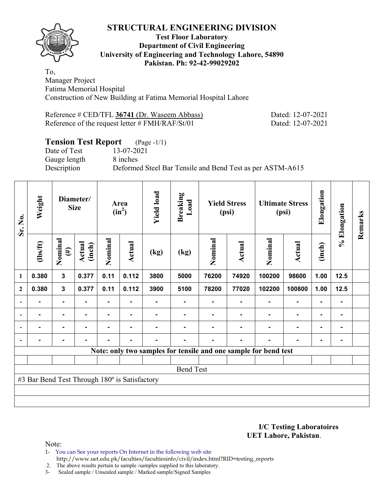## **Test Floor Laboratory Department of Civil Engineering University of Engineering and Technology Lahore, 54890 Pakistan. Ph: 92-42-99029202**

To, Manager Project Fatima Memorial Hospital Construction of New Building at Fatima Memorial Hospital Lahore

Reference # CED/TFL 36741 (Dr. Waseem Abbass) Dated: 12-07-2021 Reference of the request letter # FMH/RAF/St/01 Dated: 12-07-2021

# **Tension Test Report** (Page -1/1)

Date of Test 13-07-2021 Gauge length 8 inches

Description Deformed Steel Bar Tensile and Bend Test as per ASTM-A615

| Sr. No.                  | Weight                                        |                   | Diameter/<br><b>Size</b> |         | Area<br>$(in^2)$ | <b>Yield load</b> | <b>Breaking</b><br>Load |         | <b>Yield Stress</b><br>(psi) |                                                                 | <b>Ultimate Stress</b><br>(psi) | Elongation     | % Elongation | Remarks |
|--------------------------|-----------------------------------------------|-------------------|--------------------------|---------|------------------|-------------------|-------------------------|---------|------------------------------|-----------------------------------------------------------------|---------------------------------|----------------|--------------|---------|
|                          | $\frac{2}{10}$                                | Nominal<br>$(\#)$ | Actual<br>(inch)         | Nominal | <b>Actual</b>    | (kg)              | (kg)                    | Nominal | Actual                       | Nominal                                                         | Actual                          | (inch)         |              |         |
| 1                        | 0.380                                         | 3                 | 0.377                    | 0.11    | 0.112            | 3800              | 5000                    | 76200   | 74920                        | 100200                                                          | 98600                           | 1.00           | 12.5         |         |
| $\boldsymbol{2}$         | 0.380                                         | $\mathbf{3}$      | 0.377                    | 0.11    | 0.112            | 3900              | 5100                    | 78200   | 77020                        | 102200                                                          | 100800                          | 1.00           | 12.5         |         |
|                          |                                               | ۰                 |                          |         |                  |                   |                         |         |                              |                                                                 |                                 |                |              |         |
| $\overline{\phantom{0}}$ | $\blacksquare$                                | $\blacksquare$    | ۰                        | ۰       | ٠                |                   |                         |         |                              |                                                                 | ۰                               | $\blacksquare$ |              |         |
|                          | $\blacksquare$                                | ۰                 | $\blacksquare$           |         |                  |                   |                         |         |                              |                                                                 | $\blacksquare$                  | $\blacksquare$ |              |         |
|                          | $\blacksquare$                                | $\blacksquare$    | $\blacksquare$           | ۰       | $\blacksquare$   | $\blacksquare$    |                         |         | ۰                            |                                                                 | ۰                               | $\blacksquare$ |              |         |
|                          |                                               |                   |                          |         |                  |                   |                         |         |                              | Note: only two samples for tensile and one sample for bend test |                                 |                |              |         |
|                          |                                               |                   |                          |         |                  |                   |                         |         |                              |                                                                 |                                 |                |              |         |
|                          |                                               |                   |                          |         |                  |                   | <b>Bend Test</b>        |         |                              |                                                                 |                                 |                |              |         |
|                          | #3 Bar Bend Test Through 180° is Satisfactory |                   |                          |         |                  |                   |                         |         |                              |                                                                 |                                 |                |              |         |
|                          |                                               |                   |                          |         |                  |                   |                         |         |                              |                                                                 |                                 |                |              |         |
|                          |                                               |                   |                          |         |                  |                   |                         |         |                              |                                                                 |                                 |                |              |         |

**I/C Testing Laboratoires UET Lahore, Pakistan**.

Note:

1- You can See your reports On Internet in the following web site http://www.uet.edu.pk/faculties/facultiesinfo/civil/index.html?RID=testing\_reports

2. The above results pertain to sample /samples supplied to this laboratory.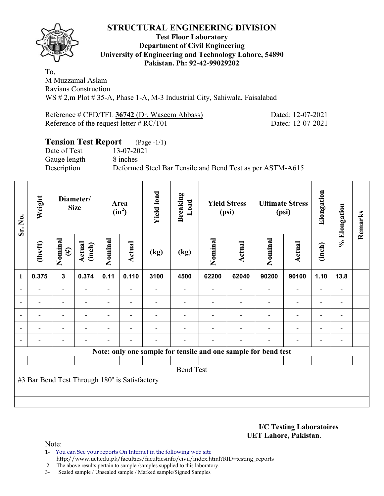

## **Test Floor Laboratory Department of Civil Engineering University of Engineering and Technology Lahore, 54890 Pakistan. Ph: 92-42-99029202**

To, M Muzzamal Aslam Ravians Construction WS # 2,m Plot # 35-A, Phase 1-A, M-3 Industrial City, Sahiwala, Faisalabad

Reference # CED/TFL **36742** (Dr. Waseem Abbass) Dated: 12-07-2021 Reference of the request letter # RC/T01 Dated: 12-07-2021

# **Tension Test Report** (Page -1/1) Date of Test 13-07-2021 Gauge length 8 inches Description Deformed Steel Bar Tensile and Bend Test as per ASTM-A615

| Sr. No.      | Weight                                        |                          | Diameter/<br><b>Size</b> |                          | Area<br>$(in^2)$         | <b>Yield load</b> | <b>Breaking</b><br>Load |         | <b>Yield Stress</b><br>(psi)                                   |                          | <b>Ultimate Stress</b><br>(psi) | Elongation               | % Elongation             | Remarks |
|--------------|-----------------------------------------------|--------------------------|--------------------------|--------------------------|--------------------------|-------------------|-------------------------|---------|----------------------------------------------------------------|--------------------------|---------------------------------|--------------------------|--------------------------|---------|
|              | (1bs/ft)                                      | Nominal<br>$(\#)$        | Actual<br>(inch)         | Nominal                  | Actual                   | (kg)              | (kg)                    | Nominal | Actual                                                         | Nominal                  | Actual                          | (inch)                   |                          |         |
| $\mathbf{1}$ | 0.375                                         | $\mathbf{3}$             | 0.374                    | 0.11                     | 0.110                    | 3100              | 4500                    | 62200   | 62040                                                          | 90200                    | 90100                           | 1.10                     | 13.8                     |         |
|              |                                               | $\overline{\phantom{a}}$ |                          | $\overline{\phantom{0}}$ |                          |                   |                         |         | $\overline{\phantom{0}}$                                       |                          | $\overline{\phantom{0}}$        | $\overline{\phantom{0}}$ |                          |         |
|              | $\overline{\phantom{0}}$                      | $\overline{\phantom{a}}$ |                          | $\overline{\phantom{0}}$ | $\blacksquare$           |                   |                         |         | $\overline{\phantom{0}}$                                       |                          | $\overline{a}$                  | $\overline{\phantom{0}}$ |                          |         |
|              |                                               | $\blacksquare$           |                          |                          |                          |                   |                         |         |                                                                |                          | $\overline{\phantom{0}}$        | $\overline{\phantom{0}}$ |                          |         |
|              | $\overline{\phantom{0}}$                      | $\overline{\phantom{a}}$ | $\overline{\phantom{0}}$ |                          | $\overline{\phantom{0}}$ |                   |                         |         | $\overline{\phantom{0}}$                                       | $\overline{\phantom{0}}$ | $\overline{\phantom{0}}$        | $\overline{\phantom{a}}$ | $\overline{\phantom{a}}$ |         |
|              |                                               | $\overline{\phantom{0}}$ |                          |                          | ٠                        |                   |                         |         | $\overline{\phantom{0}}$                                       |                          | $\overline{\phantom{0}}$        | $\overline{\phantom{a}}$ | $\blacksquare$           |         |
|              |                                               |                          |                          |                          |                          |                   |                         |         | Note: only one sample for tensile and one sample for bend test |                          |                                 |                          |                          |         |
|              |                                               |                          |                          |                          |                          |                   |                         |         |                                                                |                          |                                 |                          |                          |         |
|              |                                               |                          |                          |                          |                          |                   | <b>Bend Test</b>        |         |                                                                |                          |                                 |                          |                          |         |
|              | #3 Bar Bend Test Through 180° is Satisfactory |                          |                          |                          |                          |                   |                         |         |                                                                |                          |                                 |                          |                          |         |
|              |                                               |                          |                          |                          |                          |                   |                         |         |                                                                |                          |                                 |                          |                          |         |
|              |                                               |                          |                          |                          |                          |                   |                         |         |                                                                |                          |                                 |                          |                          |         |

**I/C Testing Laboratoires UET Lahore, Pakistan**.

Note:

- 1- You can See your reports On Internet in the following web site http://www.uet.edu.pk/faculties/facultiesinfo/civil/index.html?RID=testing\_reports
- 2. The above results pertain to sample /samples supplied to this laboratory.
- 3- Sealed sample / Unsealed sample / Marked sample/Signed Samples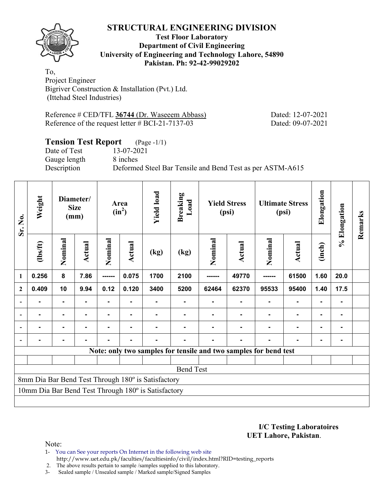

## **Test Floor Laboratory Department of Civil Engineering University of Engineering and Technology Lahore, 54890 Pakistan. Ph: 92-42-99029202**

To, Project Engineer Bigriver Construction & Installation (Pvt.) Ltd. (Ittehad Steel Industries)

Reference # CED/TFL 36744 (Dr. Waseeem Abbass) Dated: 12-07-2021 Reference of the request letter # BCI-21-7137-03 Dated: 09-07-2021

## **Tension Test Report** (Page -1/1)

Date of Test 13-07-2021 Gauge length 8 inches

Description Deformed Steel Bar Tensile and Bend Test as per ASTM-A615

| Sr. No.                  | Weight                                                                          |                | Diameter/<br><b>Size</b><br>(mm) |         | Area<br>$(in^2)$ | <b>Yield load</b>                                   | <b>Breaking</b><br>Load |         | <b>Yield Stress</b><br>(psi)                                     |                | <b>Ultimate Stress</b><br>(psi) | Elongation     | % Elongation | Remarks |
|--------------------------|---------------------------------------------------------------------------------|----------------|----------------------------------|---------|------------------|-----------------------------------------------------|-------------------------|---------|------------------------------------------------------------------|----------------|---------------------------------|----------------|--------------|---------|
|                          | (1bs/ft)                                                                        | Nominal        | Actual                           | Nominal | Actual           | (kg)                                                | (kg)                    | Nominal | Actual                                                           | Nominal        | Actual                          | (inch)         |              |         |
| $\mathbf{1}$             | 0.256                                                                           | 8              | 7.86                             | ------- | 0.075            | 1700                                                | 2100                    | ------- | 49770                                                            | ------         | 61500                           | 1.60           | 20.0         |         |
| $\mathbf{2}$             | 10<br>9.94<br>0.12<br>0.120<br>3400<br>62370<br>0.409<br>5200<br>62464<br>95533 |                |                                  |         |                  |                                                     |                         |         | 95400                                                            | 1.40           | 17.5                            |                |              |         |
| $\overline{\phantom{a}}$ | -                                                                               | ٠.             |                                  |         |                  |                                                     |                         |         |                                                                  | $\blacksquare$ | $\blacksquare$                  | ٠              | ۰            |         |
| $\blacksquare$           | ٠                                                                               | Ξ.             |                                  | Ξ.      | $\blacksquare$   | -                                                   |                         |         | $\blacksquare$                                                   | $\blacksquare$ |                                 | $\blacksquare$ | ۰            |         |
|                          |                                                                                 | $\blacksquare$ |                                  |         |                  |                                                     |                         |         |                                                                  |                | $\blacksquare$                  | $\blacksquare$ | -            |         |
| $\blacksquare$           |                                                                                 | $\blacksquare$ |                                  |         |                  |                                                     |                         |         |                                                                  |                |                                 | -              |              |         |
|                          |                                                                                 |                |                                  |         |                  |                                                     |                         |         | Note: only two samples for tensile and two samples for bend test |                |                                 |                |              |         |
|                          |                                                                                 |                |                                  |         |                  |                                                     |                         |         |                                                                  |                |                                 |                |              |         |
|                          |                                                                                 |                |                                  |         |                  |                                                     | <b>Bend Test</b>        |         |                                                                  |                |                                 |                |              |         |
|                          |                                                                                 |                |                                  |         |                  | 8mm Dia Bar Bend Test Through 180° is Satisfactory  |                         |         |                                                                  |                |                                 |                |              |         |
|                          |                                                                                 |                |                                  |         |                  | 10mm Dia Bar Bend Test Through 180° is Satisfactory |                         |         |                                                                  |                |                                 |                |              |         |
|                          |                                                                                 |                |                                  |         |                  |                                                     |                         |         |                                                                  |                |                                 |                |              |         |

**I/C Testing Laboratoires UET Lahore, Pakistan**.

Note:

1- You can See your reports On Internet in the following web site

http://www.uet.edu.pk/faculties/facultiesinfo/civil/index.html?RID=testing\_reports

2. The above results pertain to sample /samples supplied to this laboratory.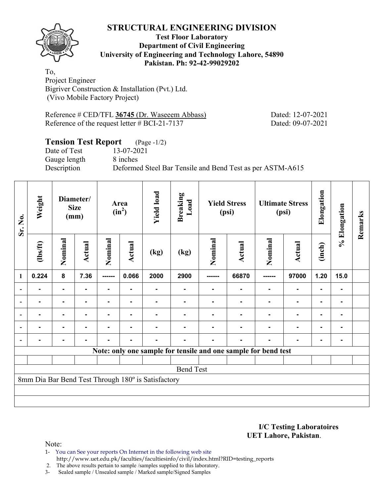

## **Test Floor Laboratory Department of Civil Engineering University of Engineering and Technology Lahore, 54890 Pakistan. Ph: 92-42-99029202**

To, Project Engineer Bigriver Construction & Installation (Pvt.) Ltd. (Vivo Mobile Factory Project)

Reference # CED/TFL 36745 (Dr. Waseeem Abbass) Dated: 12-07-2021 Reference of the request letter # BCI-21-7137 Dated: 09-07-2021

## **Tension Test Report** (Page -1/2)

Date of Test 13-07-2021 Gauge length 8 inches

Description Deformed Steel Bar Tensile and Bend Test as per ASTM-A615

| Weight         |         |                |                                  |                | <b>Yield load</b> | <b>Breaking</b><br>Load |                                                    |                  |                              |                | Elongation                                                                                        |                | Remarks      |
|----------------|---------|----------------|----------------------------------|----------------|-------------------|-------------------------|----------------------------------------------------|------------------|------------------------------|----------------|---------------------------------------------------------------------------------------------------|----------------|--------------|
| $\frac{2}{10}$ | Nominal | Actual         | Nominal                          | Actual         | (kg)              | (kg)                    | Nominal                                            | Actual           | Nominal                      | <b>Actual</b>  | (inch)                                                                                            |                |              |
| 0.224          | 8       | 7.36           | -------                          | 0.066          | 2000              | 2900                    |                                                    | 66870            |                              | 97000          | 1.20                                                                                              | 15.0           |              |
|                |         |                |                                  |                |                   | $\blacksquare$          | $\blacksquare$                                     | $\blacksquare$   | $\blacksquare$               | $\blacksquare$ | $\blacksquare$                                                                                    |                |              |
|                |         | $\blacksquare$ | $\blacksquare$                   | $\blacksquare$ | $\blacksquare$    | $\blacksquare$          | $\blacksquare$                                     | $\blacksquare$   | $\blacksquare$               | $\blacksquare$ | ٠                                                                                                 | $\blacksquare$ |              |
|                |         | $\blacksquare$ | $\blacksquare$                   | $\blacksquare$ | $\blacksquare$    | $\blacksquare$          | $\blacksquare$                                     | $\blacksquare$   | $\blacksquare$               | $\blacksquare$ | $\blacksquare$                                                                                    | $\blacksquare$ |              |
|                |         |                |                                  |                |                   |                         |                                                    | $\blacksquare$   | $\blacksquare$               | $\blacksquare$ | $\blacksquare$                                                                                    |                |              |
|                |         |                |                                  |                |                   | $\blacksquare$          | $\blacksquare$                                     | $\blacksquare$   | $\blacksquare$               | ۰              | $\blacksquare$                                                                                    |                |              |
|                |         |                |                                  |                |                   |                         |                                                    |                  |                              |                |                                                                                                   |                |              |
|                |         |                |                                  |                |                   |                         |                                                    |                  |                              |                |                                                                                                   |                |              |
|                |         |                |                                  |                |                   |                         |                                                    |                  |                              |                |                                                                                                   |                |              |
|                |         |                |                                  |                |                   |                         |                                                    |                  |                              |                |                                                                                                   |                |              |
|                |         |                |                                  |                |                   |                         |                                                    |                  |                              |                |                                                                                                   |                |              |
|                |         |                | Diameter/<br><b>Size</b><br>(mm) |                | Area<br>$(in^2)$  |                         | 8mm Dia Bar Bend Test Through 180° is Satisfactory | <b>Bend Test</b> | <b>Yield Stress</b><br>(psi) |                | <b>Ultimate Stress</b><br>(psi)<br>Note: only one sample for tensile and one sample for bend test |                | % Elongation |

**I/C Testing Laboratoires UET Lahore, Pakistan**.

Note:

1- You can See your reports On Internet in the following web site http://www.uet.edu.pk/faculties/facultiesinfo/civil/index.html?RID=testing\_reports

2. The above results pertain to sample /samples supplied to this laboratory.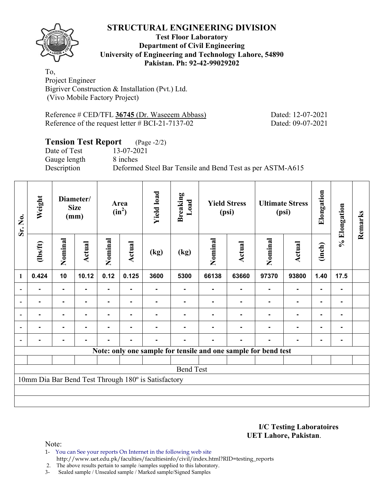

## **Test Floor Laboratory Department of Civil Engineering University of Engineering and Technology Lahore, 54890 Pakistan. Ph: 92-42-99029202**

To, Project Engineer Bigriver Construction & Installation (Pvt.) Ltd. (Vivo Mobile Factory Project)

Reference # CED/TFL 36745 (Dr. Waseeem Abbass) Dated: 12-07-2021 Reference of the request letter # BCI-21-7137-02 Dated: 09-07-2021

# **Tension Test Report** (Page -2/2)

Date of Test 13-07-2021 Gauge length 8 inches

Description Deformed Steel Bar Tensile and Bend Test as per ASTM-A615

| Sr. No.        | Weight         |                | Diameter/<br><b>Size</b><br>(mm) |         | Area<br>$(in^2)$ | <b>Yield load</b>                                   | <b>Breaking</b><br>Load |         | <b>Yield Stress</b><br>(psi) |                                                                | <b>Ultimate Stress</b><br>(psi) | Elongation     | % Elongation | Remarks |
|----------------|----------------|----------------|----------------------------------|---------|------------------|-----------------------------------------------------|-------------------------|---------|------------------------------|----------------------------------------------------------------|---------------------------------|----------------|--------------|---------|
|                | (1bs/ft)       | Nominal        | Actual                           | Nominal | <b>Actual</b>    | (kg)                                                | (kg)                    | Nominal | Actual                       | Nominal                                                        | Actual                          | (inch)         |              |         |
| 1              | 0.424          | 10             | 10.12                            | 0.12    | 0.125            | 3600                                                | 5300                    | 66138   | 63660                        | 97370                                                          | 93800                           | 1.40           | 17.5         |         |
|                |                | ۰              |                                  |         |                  |                                                     |                         |         |                              |                                                                |                                 |                |              |         |
| $\overline{a}$ |                | ۰              |                                  |         |                  |                                                     |                         |         |                              |                                                                |                                 | ۰              |              |         |
| $\blacksquare$ |                | $\blacksquare$ | $\blacksquare$                   |         |                  |                                                     |                         |         |                              |                                                                | $\blacksquare$                  | $\blacksquare$ |              |         |
|                | $\blacksquare$ | ۰              |                                  | ۰       | ۰                |                                                     |                         |         |                              |                                                                | $\blacksquare$                  | $\blacksquare$ |              |         |
|                |                | ٠              |                                  |         | ٠                |                                                     |                         |         |                              |                                                                | ٠                               | ۰              |              |         |
|                |                |                |                                  |         |                  |                                                     |                         |         |                              | Note: only one sample for tensile and one sample for bend test |                                 |                |              |         |
|                |                |                |                                  |         |                  |                                                     |                         |         |                              |                                                                |                                 |                |              |         |
|                |                |                |                                  |         |                  |                                                     | <b>Bend Test</b>        |         |                              |                                                                |                                 |                |              |         |
|                |                |                |                                  |         |                  | 10mm Dia Bar Bend Test Through 180° is Satisfactory |                         |         |                              |                                                                |                                 |                |              |         |
|                |                |                |                                  |         |                  |                                                     |                         |         |                              |                                                                |                                 |                |              |         |
|                |                |                |                                  |         |                  |                                                     |                         |         |                              |                                                                |                                 |                |              |         |

**I/C Testing Laboratoires UET Lahore, Pakistan**.

Note:

1- You can See your reports On Internet in the following web site http://www.uet.edu.pk/faculties/facultiesinfo/civil/index.html?RID=testing\_reports

2. The above results pertain to sample /samples supplied to this laboratory.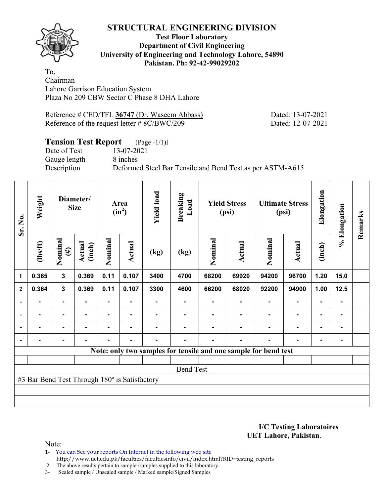

## **Test Floor Laboratory Department of Civil Engineering University of Engineering and Technology Lahore, 54890 Pakistan. Ph: 92-42-99029202**

To, Chairman Lahore Garrison Education System Plaza No 209 CBW Sector C Phase 8 DHA Lahore

Reference # CED/TFL **36747** (Dr. Waseem Abbass) Dated: 13-07-2021 Reference of the request letter # 8C/BWC/209 Dated: 12-07-2021

# **Tension Test Report** (Page -1/1)l

Date of Test 13-07-2021 Gauge length 8 inches

Description Deformed Steel Bar Tensile and Bend Test as per ASTM-A615

| Sr. No.                  | Weight                                        |                   | Diameter/<br><b>Size</b> |         | Area<br>$(in^2)$ | <b>Yield load</b> | <b>Breaking</b><br>Load |         | <b>Yield Stress</b><br>(psi) |                                                                 | <b>Ultimate Stress</b><br>(psi) | Elongation     | % Elongation | Remarks |
|--------------------------|-----------------------------------------------|-------------------|--------------------------|---------|------------------|-------------------|-------------------------|---------|------------------------------|-----------------------------------------------------------------|---------------------------------|----------------|--------------|---------|
|                          | $\frac{2}{10}$                                | Nominal<br>$(\#)$ | Actual<br>(inch)         | Nominal | <b>Actual</b>    | (kg)              | (kg)                    | Nominal | Actual                       | Nominal                                                         | Actual                          | (inch)         |              |         |
| 1                        | 0.365                                         | 3                 | 0.369                    | 0.11    | 0.107            | 3400              | 4700                    | 68200   | 69920                        | 94200                                                           | 96700                           | 1.20           | 15.0         |         |
| $\mathbf{2}$             | 0.364                                         | $\mathbf{3}$      | 0.369                    | 0.11    | 0.107            | 3300              | 4600                    | 66200   | 68020                        | 92200                                                           | 94900                           | 1.00           | 12.5         |         |
|                          |                                               | $\blacksquare$    |                          |         |                  |                   |                         |         |                              |                                                                 |                                 |                |              |         |
| $\overline{\phantom{0}}$ | $\blacksquare$                                | $\blacksquare$    | ۰                        | ۰       | ٠                |                   |                         |         |                              |                                                                 | ۰                               | $\blacksquare$ |              |         |
|                          | $\blacksquare$                                | ٠                 | $\blacksquare$           |         |                  |                   |                         |         |                              |                                                                 | $\blacksquare$                  | $\blacksquare$ |              |         |
|                          | $\blacksquare$                                | $\blacksquare$    | $\blacksquare$           | ٠       | $\blacksquare$   | $\blacksquare$    |                         |         | ۰                            |                                                                 | ۰                               | $\blacksquare$ |              |         |
|                          |                                               |                   |                          |         |                  |                   |                         |         |                              | Note: only two samples for tensile and one sample for bend test |                                 |                |              |         |
|                          |                                               |                   |                          |         |                  |                   |                         |         |                              |                                                                 |                                 |                |              |         |
|                          |                                               |                   |                          |         |                  |                   | <b>Bend Test</b>        |         |                              |                                                                 |                                 |                |              |         |
|                          | #3 Bar Bend Test Through 180° is Satisfactory |                   |                          |         |                  |                   |                         |         |                              |                                                                 |                                 |                |              |         |
|                          |                                               |                   |                          |         |                  |                   |                         |         |                              |                                                                 |                                 |                |              |         |
|                          |                                               |                   |                          |         |                  |                   |                         |         |                              |                                                                 |                                 |                |              |         |

**I/C Testing Laboratoires UET Lahore, Pakistan**.

Note:

1- You can See your reports On Internet in the following web site http://www.uet.edu.pk/faculties/facultiesinfo/civil/index.html?RID=testing\_reports

2. The above results pertain to sample /samples supplied to this laboratory.